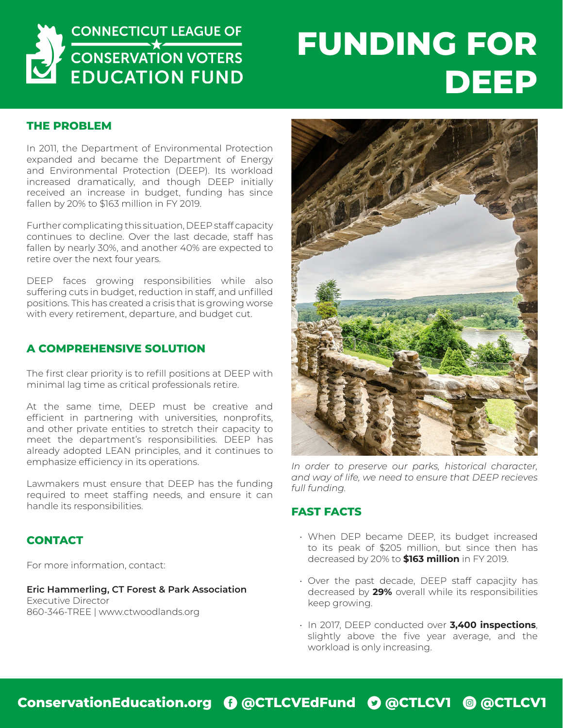

# **FUNDING FOR DEEP**

### **THE PROBLEM**

In 2011, the Department of Environmental Protection expanded and became the Department of Energy and Environmental Protection (DEEP). Its workload increased dramatically, and though DEEP initially received an increase in budget, funding has since fallen by 20% to \$163 million in FY 2019.

Further complicating this situation, DEEP staff capacity continues to decline. Over the last decade, staff has fallen by nearly 30%, and another 40% are expected to retire over the next four years.

DEEP faces growing responsibilities while also suffering cuts in budget, reduction in staff, and unfilled positions. This has created a crisis that is growing worse with every retirement, departure, and budget cut.

#### **A COMPREHENSIVE SOLUTION**

The first clear priority is to refill positions at DEEP with minimal lag time as critical professionals retire.

At the same time, DEEP must be creative and efficient in partnering with universities, nonprofits, and other private entities to stretch their capacity to meet the department's responsibilities. DEEP has already adopted LEAN principles, and it continues to emphasize efficiency in its operations.

Lawmakers must ensure that DEEP has the funding required to meet staffing needs, and ensure it can handle its responsibilities.

### **CONTACT**

For more information, contact:

#### **Eric Hammerling, CT Forest & Park Association**

Executive Director 860-346-TREE | www.ctwoodlands.org



*In order to preserve our parks, historical character, and way of life, we need to ensure that DEEP recieves full funding.*

#### **FAST FACTS**

- When DEP became DEEP, its budget increased to its peak of \$205 million, but since then has decreased by 20% to **\$163 million** in FY 2019.
- Over the past decade, DEEP staff capacjity has decreased by **29%** overall while its responsibilities keep growing.
- In 2017, DEEP conducted over **3,400 inspections**, slightly above the five year average, and the workload is only increasing.

## **ConservationEducation.org** E **@CTLCVEdFund** D **@CTLCV1** Q **@CTLCV1**